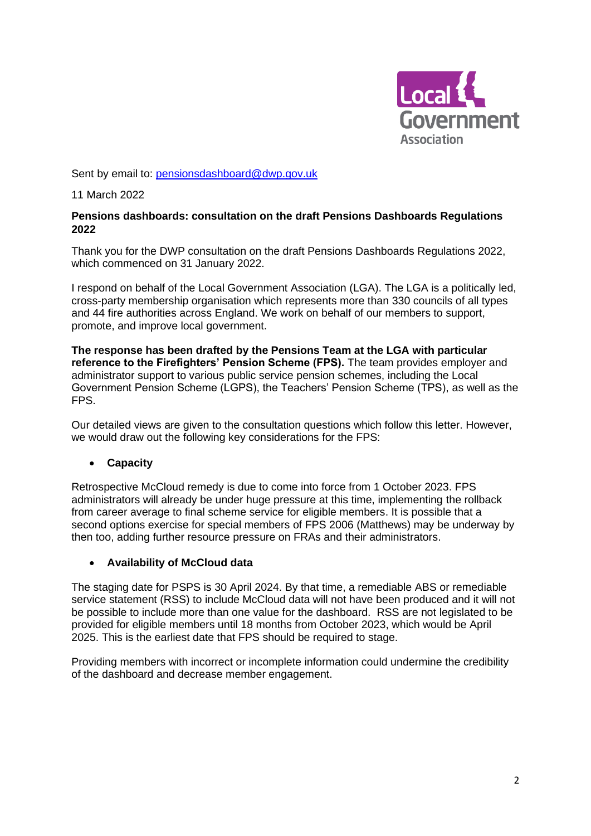

Sent by email to: [pensionsdashboard@dwp.gov.uk](mailto:pensionsdashboard@dwp.gov.uk)

11 March 2022

#### **Pensions dashboards: consultation on the draft Pensions Dashboards Regulations 2022**

Thank you for the DWP consultation on the draft Pensions Dashboards Regulations 2022, which commenced on 31 January 2022.

I respond on behalf of the Local Government Association (LGA). The LGA is a politically led, cross-party membership organisation which represents more than 330 councils of all types and 44 fire authorities across England. We work on behalf of our members to support, promote, and improve local government.

**The response has been drafted by the Pensions Team at the LGA with particular reference to the Firefighters' Pension Scheme (FPS).** The team provides employer and administrator support to various public service pension schemes, including the Local Government Pension Scheme (LGPS), the Teachers' Pension Scheme (TPS), as well as the FPS.

Our detailed views are given to the consultation questions which follow this letter. However, we would draw out the following key considerations for the FPS:

### • **Capacity**

Retrospective McCloud remedy is due to come into force from 1 October 2023. FPS administrators will already be under huge pressure at this time, implementing the rollback from career average to final scheme service for eligible members. It is possible that a second options exercise for special members of FPS 2006 (Matthews) may be underway by then too, adding further resource pressure on FRAs and their administrators.

#### • **Availability of McCloud data**

The staging date for PSPS is 30 April 2024. By that time, a remediable ABS or remediable service statement (RSS) to include McCloud data will not have been produced and it will not be possible to include more than one value for the dashboard. RSS are not legislated to be provided for eligible members until 18 months from October 2023, which would be April 2025. This is the earliest date that FPS should be required to stage.

Providing members with incorrect or incomplete information could undermine the credibility of the dashboard and decrease member engagement.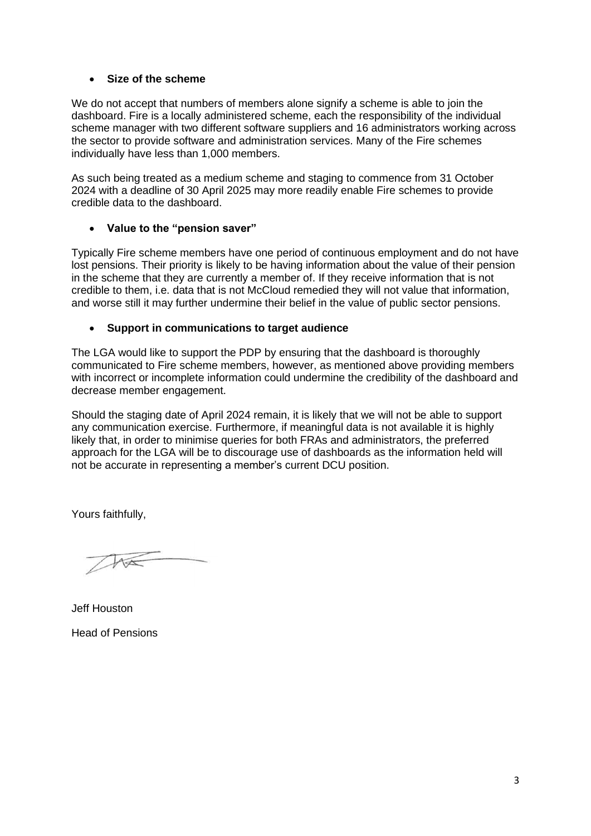#### • **Size of the scheme**

We do not accept that numbers of members alone signify a scheme is able to join the dashboard. Fire is a locally administered scheme, each the responsibility of the individual scheme manager with two different software suppliers and 16 administrators working across the sector to provide software and administration services. Many of the Fire schemes individually have less than 1,000 members.

As such being treated as a medium scheme and staging to commence from 31 October 2024 with a deadline of 30 April 2025 may more readily enable Fire schemes to provide credible data to the dashboard.

#### • **Value to the "pension saver"**

Typically Fire scheme members have one period of continuous employment and do not have lost pensions. Their priority is likely to be having information about the value of their pension in the scheme that they are currently a member of. If they receive information that is not credible to them, i.e. data that is not McCloud remedied they will not value that information, and worse still it may further undermine their belief in the value of public sector pensions.

#### • **Support in communications to target audience**

The LGA would like to support the PDP by ensuring that the dashboard is thoroughly communicated to Fire scheme members, however, as mentioned above providing members with incorrect or incomplete information could undermine the credibility of the dashboard and decrease member engagement.

Should the staging date of April 2024 remain, it is likely that we will not be able to support any communication exercise. Furthermore, if meaningful data is not available it is highly likely that, in order to minimise queries for both FRAs and administrators, the preferred approach for the LGA will be to discourage use of dashboards as the information held will not be accurate in representing a member's current DCU position.

Yours faithfully,

 $\sqrt{100}$ 

Jeff Houston Head of Pensions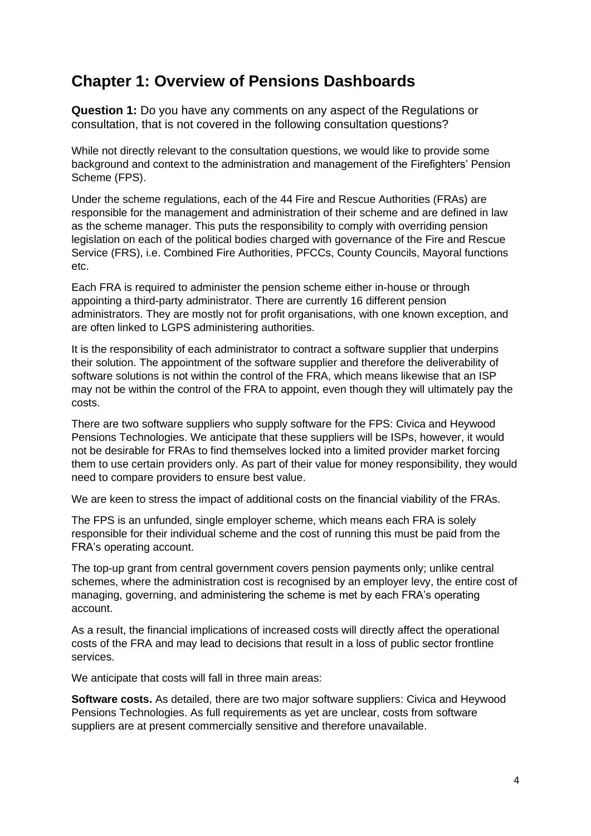## **Chapter 1: Overview of Pensions Dashboards**

**Question 1:** Do you have any comments on any aspect of the Regulations or consultation, that is not covered in the following consultation questions?

While not directly relevant to the consultation questions, we would like to provide some background and context to the administration and management of the Firefighters' Pension Scheme (FPS).

Under the scheme regulations, each of the 44 Fire and Rescue Authorities (FRAs) are responsible for the management and administration of their scheme and are defined in law as the scheme manager. This puts the responsibility to comply with overriding pension legislation on each of the political bodies charged with governance of the Fire and Rescue Service (FRS), i.e. Combined Fire Authorities, PFCCs, County Councils, Mayoral functions etc.

Each FRA is required to administer the pension scheme either in-house or through appointing a third-party administrator. There are currently 16 different pension administrators. They are mostly not for profit organisations, with one known exception, and are often linked to LGPS administering authorities.

It is the responsibility of each administrator to contract a software supplier that underpins their solution. The appointment of the software supplier and therefore the deliverability of software solutions is not within the control of the FRA, which means likewise that an ISP may not be within the control of the FRA to appoint, even though they will ultimately pay the costs.

There are two software suppliers who supply software for the FPS: Civica and Heywood Pensions Technologies. We anticipate that these suppliers will be ISPs, however, it would not be desirable for FRAs to find themselves locked into a limited provider market forcing them to use certain providers only. As part of their value for money responsibility, they would need to compare providers to ensure best value.

We are keen to stress the impact of additional costs on the financial viability of the FRAs.

The FPS is an unfunded, single employer scheme, which means each FRA is solely responsible for their individual scheme and the cost of running this must be paid from the FRA's operating account.

The top-up grant from central government covers pension payments only; unlike central schemes, where the administration cost is recognised by an employer levy, the entire cost of managing, governing, and administering the scheme is met by each FRA's operating account.

As a result, the financial implications of increased costs will directly affect the operational costs of the FRA and may lead to decisions that result in a loss of public sector frontline services.

We anticipate that costs will fall in three main areas:

**Software costs.** As detailed, there are two major software suppliers: Civica and Heywood Pensions Technologies. As full requirements as yet are unclear, costs from software suppliers are at present commercially sensitive and therefore unavailable.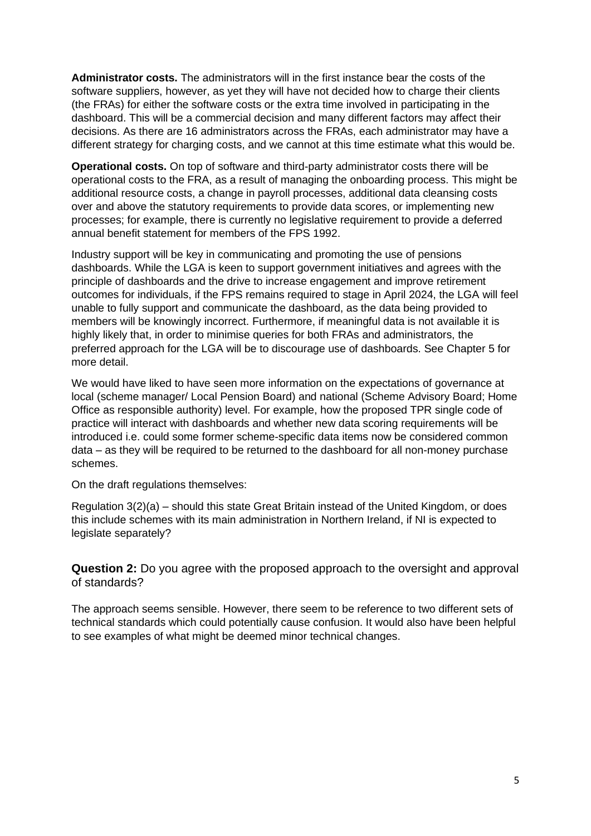**Administrator costs.** The administrators will in the first instance bear the costs of the software suppliers, however, as yet they will have not decided how to charge their clients (the FRAs) for either the software costs or the extra time involved in participating in the dashboard. This will be a commercial decision and many different factors may affect their decisions. As there are 16 administrators across the FRAs, each administrator may have a different strategy for charging costs, and we cannot at this time estimate what this would be.

**Operational costs.** On top of software and third-party administrator costs there will be operational costs to the FRA, as a result of managing the onboarding process. This might be additional resource costs, a change in payroll processes, additional data cleansing costs over and above the statutory requirements to provide data scores, or implementing new processes; for example, there is currently no legislative requirement to provide a deferred annual benefit statement for members of the FPS 1992.

Industry support will be key in communicating and promoting the use of pensions dashboards. While the LGA is keen to support government initiatives and agrees with the principle of dashboards and the drive to increase engagement and improve retirement outcomes for individuals, if the FPS remains required to stage in April 2024, the LGA will feel unable to fully support and communicate the dashboard, as the data being provided to members will be knowingly incorrect. Furthermore, if meaningful data is not available it is highly likely that, in order to minimise queries for both FRAs and administrators, the preferred approach for the LGA will be to discourage use of dashboards. See Chapter 5 for more detail.

We would have liked to have seen more information on the expectations of governance at local (scheme manager/ Local Pension Board) and national (Scheme Advisory Board; Home Office as responsible authority) level. For example, how the proposed TPR single code of practice will interact with dashboards and whether new data scoring requirements will be introduced i.e. could some former scheme-specific data items now be considered common data – as they will be required to be returned to the dashboard for all non-money purchase schemes.

On the draft regulations themselves:

Regulation 3(2)(a) – should this state Great Britain instead of the United Kingdom, or does this include schemes with its main administration in Northern Ireland, if NI is expected to legislate separately?

**Question 2:** Do you agree with the proposed approach to the oversight and approval of standards?

The approach seems sensible. However, there seem to be reference to two different sets of technical standards which could potentially cause confusion. It would also have been helpful to see examples of what might be deemed minor technical changes.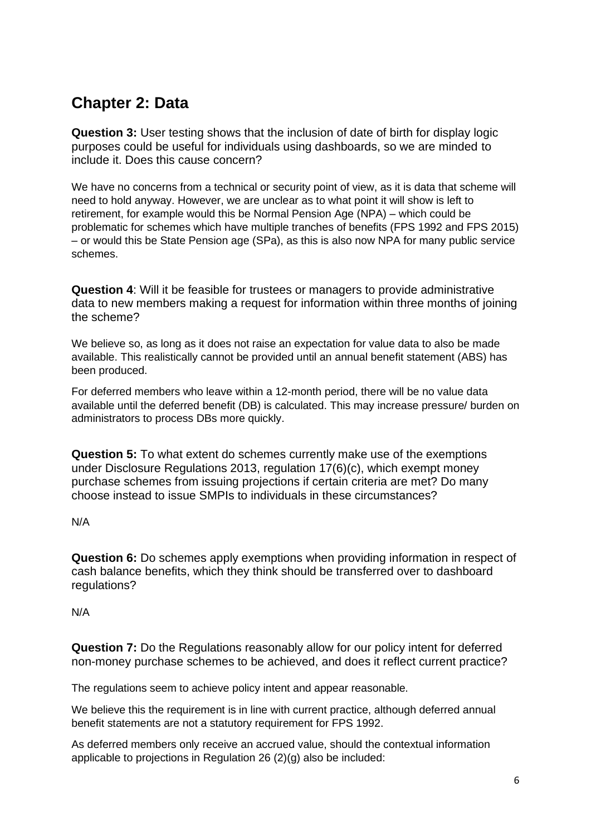## **Chapter 2: Data**

**Question 3:** User testing shows that the inclusion of date of birth for display logic purposes could be useful for individuals using dashboards, so we are minded to include it. Does this cause concern?

We have no concerns from a technical or security point of view, as it is data that scheme will need to hold anyway. However, we are unclear as to what point it will show is left to retirement, for example would this be Normal Pension Age (NPA) – which could be problematic for schemes which have multiple tranches of benefits (FPS 1992 and FPS 2015) – or would this be State Pension age (SPa), as this is also now NPA for many public service schemes.

**Question 4**: Will it be feasible for trustees or managers to provide administrative data to new members making a request for information within three months of joining the scheme?

We believe so, as long as it does not raise an expectation for value data to also be made available. This realistically cannot be provided until an annual benefit statement (ABS) has been produced.

For deferred members who leave within a 12-month period, there will be no value data available until the deferred benefit (DB) is calculated. This may increase pressure/ burden on administrators to process DBs more quickly.

**Question 5:** To what extent do schemes currently make use of the exemptions under Disclosure Regulations 2013, regulation 17(6)(c), which exempt money purchase schemes from issuing projections if certain criteria are met? Do many choose instead to issue SMPIs to individuals in these circumstances?

N/A

**Question 6:** Do schemes apply exemptions when providing information in respect of cash balance benefits, which they think should be transferred over to dashboard regulations?

N/A

**Question 7:** Do the Regulations reasonably allow for our policy intent for deferred non-money purchase schemes to be achieved, and does it reflect current practice?

The regulations seem to achieve policy intent and appear reasonable.

We believe this the requirement is in line with current practice, although deferred annual benefit statements are not a statutory requirement for FPS 1992.

As deferred members only receive an accrued value, should the contextual information applicable to projections in Regulation 26 (2)(g) also be included: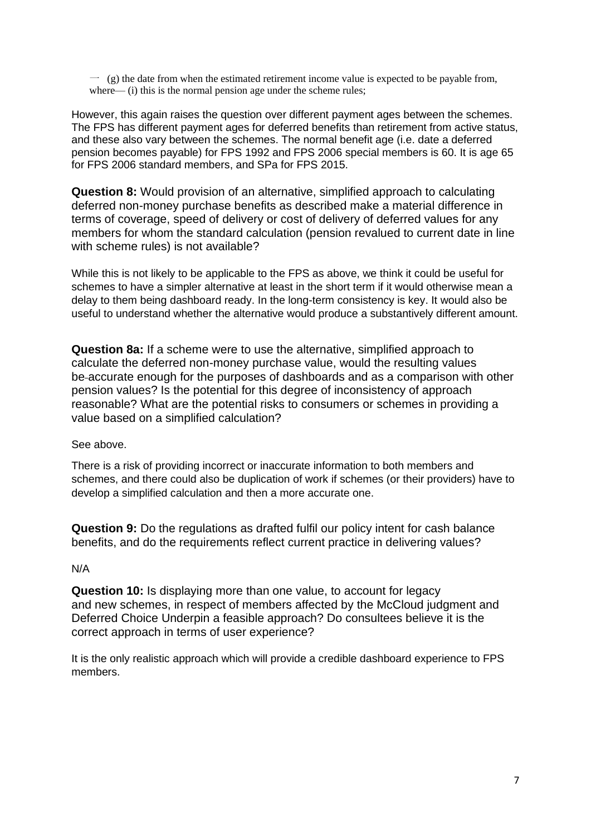$\sim$  (g) the date from when the estimated retirement income value is expected to be payable from, where— (i) this is the normal pension age under the scheme rules;

However, this again raises the question over different payment ages between the schemes. The FPS has different payment ages for deferred benefits than retirement from active status, and these also vary between the schemes. The normal benefit age (i.e. date a deferred pension becomes payable) for FPS 1992 and FPS 2006 special members is 60. It is age 65 for FPS 2006 standard members, and SPa for FPS 2015.

**Question 8:** Would provision of an alternative, simplified approach to calculating deferred non-money purchase benefits as described make a material difference in terms of coverage, speed of delivery or cost of delivery of deferred values for any members for whom the standard calculation (pension revalued to current date in line with scheme rules) is not available?

While this is not likely to be applicable to the FPS as above, we think it could be useful for schemes to have a simpler alternative at least in the short term if it would otherwise mean a delay to them being dashboard ready. In the long-term consistency is key. It would also be useful to understand whether the alternative would produce a substantively different amount.

**Question 8a:** If a scheme were to use the alternative, simplified approach to calculate the deferred non-money purchase value, would the resulting values be accurate enough for the purposes of dashboards and as a comparison with other pension values? Is the potential for this degree of inconsistency of approach reasonable? What are the potential risks to consumers or schemes in providing a value based on a simplified calculation?

#### See above.

There is a risk of providing incorrect or inaccurate information to both members and schemes, and there could also be duplication of work if schemes (or their providers) have to develop a simplified calculation and then a more accurate one.

**Question 9:** Do the regulations as drafted fulfil our policy intent for cash balance benefits, and do the requirements reflect current practice in delivering values?

#### N/A

**Question 10:** Is displaying more than one value, to account for legacy and new schemes, in respect of members affected by the McCloud judgment and Deferred Choice Underpin a feasible approach? Do consultees believe it is the correct approach in terms of user experience?

It is the only realistic approach which will provide a credible dashboard experience to FPS members.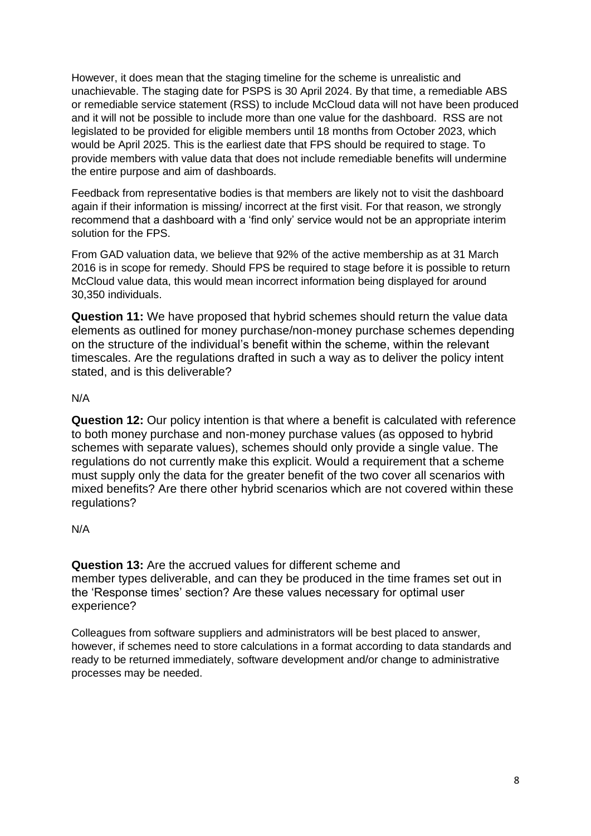However, it does mean that the staging timeline for the scheme is unrealistic and unachievable. The staging date for PSPS is 30 April 2024. By that time, a remediable ABS or remediable service statement (RSS) to include McCloud data will not have been produced and it will not be possible to include more than one value for the dashboard. RSS are not legislated to be provided for eligible members until 18 months from October 2023, which would be April 2025. This is the earliest date that FPS should be required to stage. To provide members with value data that does not include remediable benefits will undermine the entire purpose and aim of dashboards.

Feedback from representative bodies is that members are likely not to visit the dashboard again if their information is missing/ incorrect at the first visit. For that reason, we strongly recommend that a dashboard with a 'find only' service would not be an appropriate interim solution for the FPS.

From GAD valuation data, we believe that 92% of the active membership as at 31 March 2016 is in scope for remedy. Should FPS be required to stage before it is possible to return McCloud value data, this would mean incorrect information being displayed for around 30,350 individuals.

**Question 11:** We have proposed that hybrid schemes should return the value data elements as outlined for money purchase/non-money purchase schemes depending on the structure of the individual's benefit within the scheme, within the relevant timescales. Are the regulations drafted in such a way as to deliver the policy intent stated, and is this deliverable?

#### N/A

**Question 12:** Our policy intention is that where a benefit is calculated with reference to both money purchase and non-money purchase values (as opposed to hybrid schemes with separate values), schemes should only provide a single value. The regulations do not currently make this explicit. Would a requirement that a scheme must supply only the data for the greater benefit of the two cover all scenarios with mixed benefits? Are there other hybrid scenarios which are not covered within these regulations?

### N/A

**Question 13:** Are the accrued values for different scheme and member types deliverable, and can they be produced in the time frames set out in the 'Response times' section? Are these values necessary for optimal user experience?

Colleagues from software suppliers and administrators will be best placed to answer, however, if schemes need to store calculations in a format according to data standards and ready to be returned immediately, software development and/or change to administrative processes may be needed.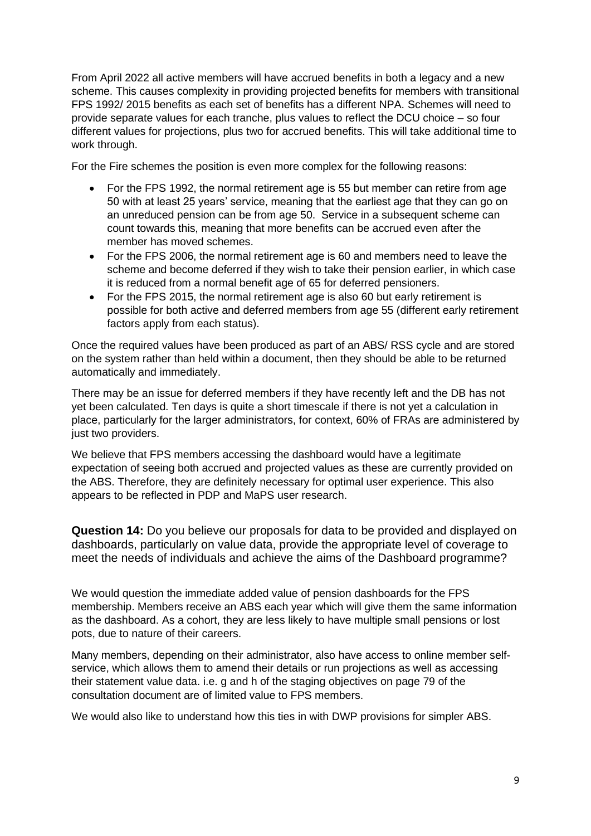From April 2022 all active members will have accrued benefits in both a legacy and a new scheme. This causes complexity in providing projected benefits for members with transitional FPS 1992/ 2015 benefits as each set of benefits has a different NPA. Schemes will need to provide separate values for each tranche, plus values to reflect the DCU choice – so four different values for projections, plus two for accrued benefits. This will take additional time to work through.

For the Fire schemes the position is even more complex for the following reasons:

- For the FPS 1992, the normal retirement age is 55 but member can retire from age 50 with at least 25 years' service, meaning that the earliest age that they can go on an unreduced pension can be from age 50. Service in a subsequent scheme can count towards this, meaning that more benefits can be accrued even after the member has moved schemes.
- For the FPS 2006, the normal retirement age is 60 and members need to leave the scheme and become deferred if they wish to take their pension earlier, in which case it is reduced from a normal benefit age of 65 for deferred pensioners.
- For the FPS 2015, the normal retirement age is also 60 but early retirement is possible for both active and deferred members from age 55 (different early retirement factors apply from each status).

Once the required values have been produced as part of an ABS/ RSS cycle and are stored on the system rather than held within a document, then they should be able to be returned automatically and immediately.

There may be an issue for deferred members if they have recently left and the DB has not yet been calculated. Ten days is quite a short timescale if there is not yet a calculation in place, particularly for the larger administrators, for context, 60% of FRAs are administered by just two providers.

We believe that FPS members accessing the dashboard would have a legitimate expectation of seeing both accrued and projected values as these are currently provided on the ABS. Therefore, they are definitely necessary for optimal user experience. This also appears to be reflected in PDP and MaPS user research.

**Question 14:** Do you believe our proposals for data to be provided and displayed on dashboards, particularly on value data, provide the appropriate level of coverage to meet the needs of individuals and achieve the aims of the Dashboard programme?

We would question the immediate added value of pension dashboards for the FPS membership. Members receive an ABS each year which will give them the same information as the dashboard. As a cohort, they are less likely to have multiple small pensions or lost pots, due to nature of their careers.

Many members, depending on their administrator, also have access to online member selfservice, which allows them to amend their details or run projections as well as accessing their statement value data. i.e. g and h of the staging objectives on page 79 of the consultation document are of limited value to FPS members.

We would also like to understand how this ties in with DWP provisions for simpler ABS.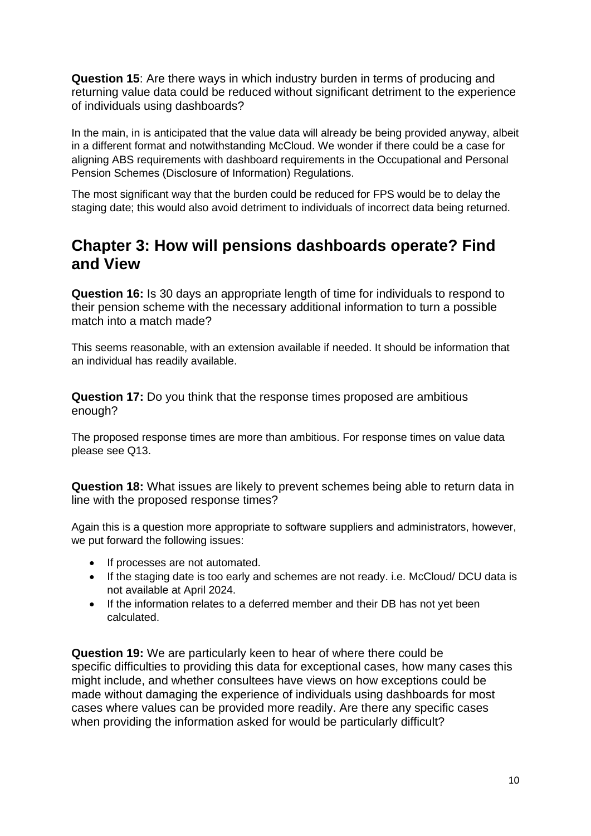**Question 15**: Are there ways in which industry burden in terms of producing and returning value data could be reduced without significant detriment to the experience of individuals using dashboards?

In the main, in is anticipated that the value data will already be being provided anyway, albeit in a different format and notwithstanding McCloud. We wonder if there could be a case for aligning ABS requirements with dashboard requirements in the Occupational and Personal Pension Schemes (Disclosure of Information) Regulations.

The most significant way that the burden could be reduced for FPS would be to delay the staging date; this would also avoid detriment to individuals of incorrect data being returned.

### **Chapter 3: How will pensions dashboards operate? Find and View**

**Question 16:** Is 30 days an appropriate length of time for individuals to respond to their pension scheme with the necessary additional information to turn a possible match into a match made?

This seems reasonable, with an extension available if needed. It should be information that an individual has readily available.

**Question 17:** Do you think that the response times proposed are ambitious enough?

The proposed response times are more than ambitious. For response times on value data please see Q13.

**Question 18:** What issues are likely to prevent schemes being able to return data in line with the proposed response times?

Again this is a question more appropriate to software suppliers and administrators, however, we put forward the following issues:

- If processes are not automated.
- If the staging date is too early and schemes are not ready. i.e. McCloud/ DCU data is not available at April 2024.
- If the information relates to a deferred member and their DB has not yet been calculated.

**Question 19:** We are particularly keen to hear of where there could be specific difficulties to providing this data for exceptional cases, how many cases this might include, and whether consultees have views on how exceptions could be made without damaging the experience of individuals using dashboards for most cases where values can be provided more readily. Are there any specific cases when providing the information asked for would be particularly difficult?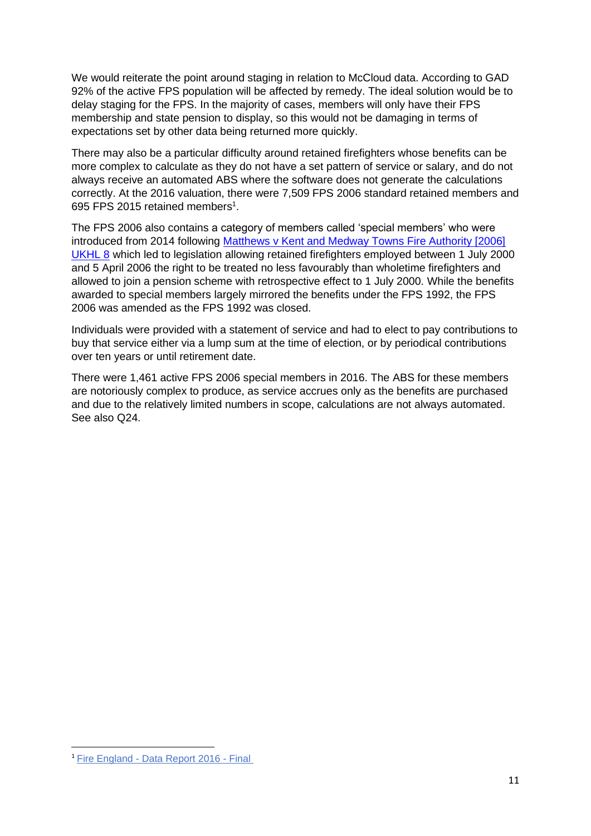We would reiterate the point around staging in relation to McCloud data. According to GAD 92% of the active FPS population will be affected by remedy. The ideal solution would be to delay staging for the FPS. In the majority of cases, members will only have their FPS membership and state pension to display, so this would not be damaging in terms of expectations set by other data being returned more quickly.

There may also be a particular difficulty around retained firefighters whose benefits can be more complex to calculate as they do not have a set pattern of service or salary, and do not always receive an automated ABS where the software does not generate the calculations correctly. At the 2016 valuation, there were 7,509 FPS 2006 standard retained members and 695 FPS 2015 retained members<sup>1</sup>.

The FPS 2006 also contains a category of members called 'special members' who were introduced from 2014 following [Matthews v Kent and Medway Towns Fire Authority \[2006\]](http://www.bailii.org/uk/cases/UKHL/2006/8.html)  [UKHL 8](http://www.bailii.org/uk/cases/UKHL/2006/8.html) which led to legislation allowing retained firefighters employed between 1 July 2000 and 5 April 2006 the right to be treated no less favourably than wholetime firefighters and allowed to join a pension scheme with retrospective effect to 1 July 2000. While the benefits awarded to special members largely mirrored the benefits under the FPS 1992, the FPS 2006 was amended as the FPS 1992 was closed.

Individuals were provided with a statement of service and had to elect to pay contributions to buy that service either via a lump sum at the time of election, or by periodical contributions over ten years or until retirement date.

There were 1,461 active FPS 2006 special members in 2016. The ABS for these members are notoriously complex to produce, as service accrues only as the benefits are purchased and due to the relatively limited numbers in scope, calculations are not always automated. See also Q24.

<sup>1</sup> Fire England - [Data Report 2016 -](https://www.fpsregs.org/images/Valuation/Data2016FV.pdf) Final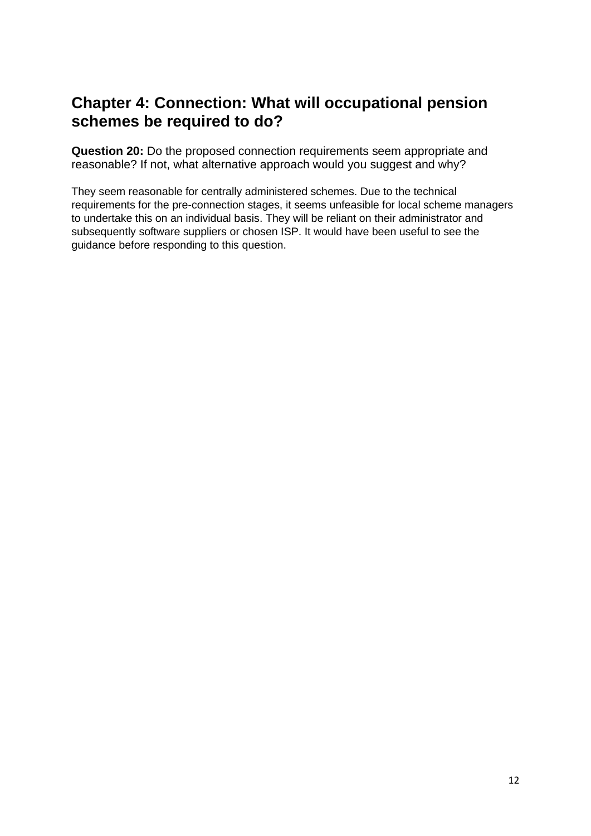## **Chapter 4: Connection: What will occupational pension schemes be required to do?**

**Question 20:** Do the proposed connection requirements seem appropriate and reasonable? If not, what alternative approach would you suggest and why?

They seem reasonable for centrally administered schemes. Due to the technical requirements for the pre-connection stages, it seems unfeasible for local scheme managers to undertake this on an individual basis. They will be reliant on their administrator and subsequently software suppliers or chosen ISP. It would have been useful to see the guidance before responding to this question.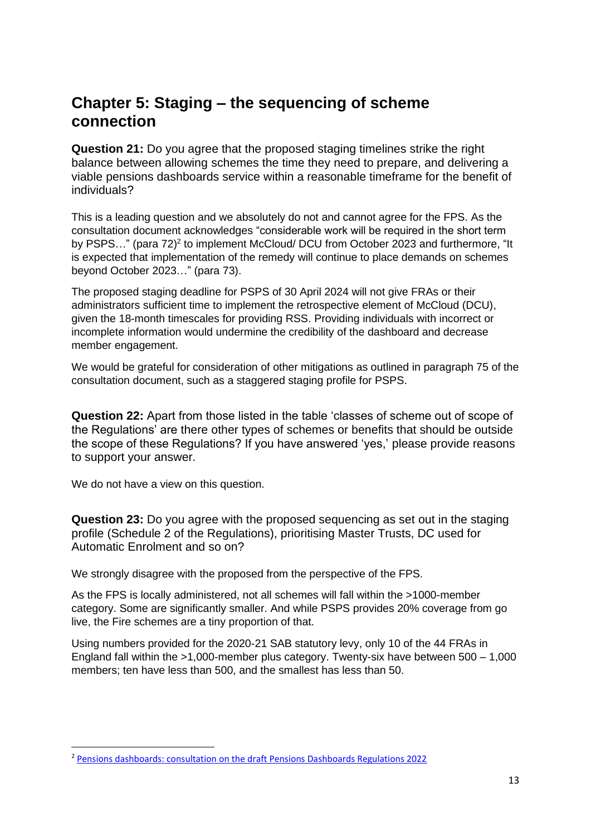## **Chapter 5: Staging – the sequencing of scheme connection**

**Question 21:** Do you agree that the proposed staging timelines strike the right balance between allowing schemes the time they need to prepare, and delivering a viable pensions dashboards service within a reasonable timeframe for the benefit of individuals?

This is a leading question and we absolutely do not and cannot agree for the FPS. As the consultation document acknowledges "considerable work will be required in the short term by PSPS..." (para 72)<sup>2</sup> to implement McCloud/ DCU from October 2023 and furthermore, "It is expected that implementation of the remedy will continue to place demands on schemes beyond October 2023…" (para 73).

The proposed staging deadline for PSPS of 30 April 2024 will not give FRAs or their administrators sufficient time to implement the retrospective element of McCloud (DCU), given the 18-month timescales for providing RSS. Providing individuals with incorrect or incomplete information would undermine the credibility of the dashboard and decrease member engagement.

We would be grateful for consideration of other mitigations as outlined in paragraph 75 of the consultation document, such as a staggered staging profile for PSPS.

**Question 22:** Apart from those listed in the table 'classes of scheme out of scope of the Regulations' are there other types of schemes or benefits that should be outside the scope of these Regulations? If you have answered 'yes,' please provide reasons to support your answer.

We do not have a view on this question.

**Question 23:** Do you agree with the proposed sequencing as set out in the staging profile (Schedule 2 of the Regulations), prioritising Master Trusts, DC used for Automatic Enrolment and so on?

We strongly disagree with the proposed from the perspective of the FPS.

As the FPS is locally administered, not all schemes will fall within the >1000-member category. Some are significantly smaller. And while PSPS provides 20% coverage from go live, the Fire schemes are a tiny proportion of that.

Using numbers provided for the 2020-21 SAB statutory levy, only 10 of the 44 FRAs in England fall within the >1,000-member plus category. Twenty-six have between 500 – 1,000 members; ten have less than 500, and the smallest has less than 50.

<sup>2</sup> [Pensions dashboards: consultation on the draft Pensions Dashboards Regulations 2022](https://www.gov.uk/government/consultations/pensions-dashboards-consultation-on-the-draft-pensions-dashboards-regulations-2022/pensions-dashboards-consultation-on-the-draft-pensions-dashboards-regulations-2022)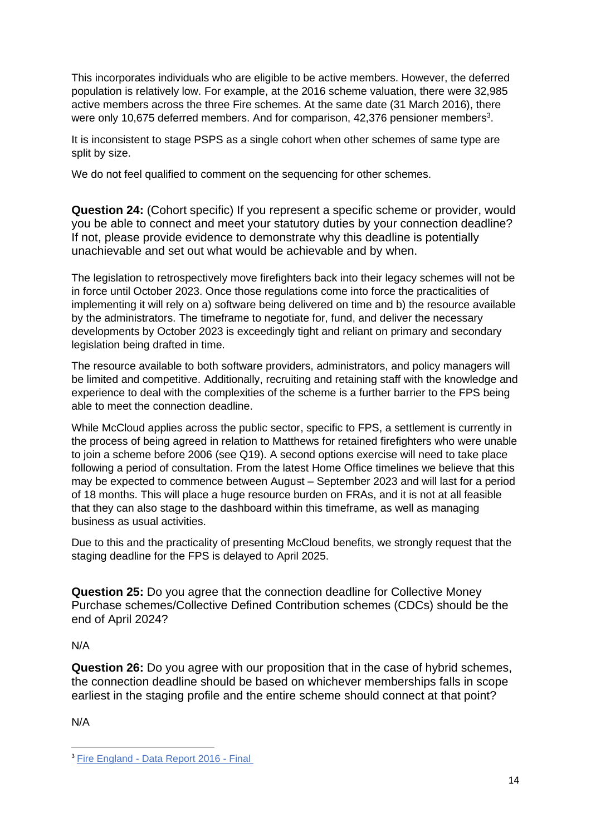This incorporates individuals who are eligible to be active members. However, the deferred population is relatively low. For example, at the 2016 scheme valuation, there were 32,985 active members across the three Fire schemes. At the same date (31 March 2016), there were only 10,675 deferred members. And for comparison, 42,376 pensioner members<sup>3</sup>.

It is inconsistent to stage PSPS as a single cohort when other schemes of same type are split by size.

We do not feel qualified to comment on the sequencing for other schemes.

**Question 24:** (Cohort specific) If you represent a specific scheme or provider, would you be able to connect and meet your statutory duties by your connection deadline? If not, please provide evidence to demonstrate why this deadline is potentially unachievable and set out what would be achievable and by when.

The legislation to retrospectively move firefighters back into their legacy schemes will not be in force until October 2023. Once those regulations come into force the practicalities of implementing it will rely on a) software being delivered on time and b) the resource available by the administrators. The timeframe to negotiate for, fund, and deliver the necessary developments by October 2023 is exceedingly tight and reliant on primary and secondary legislation being drafted in time.

The resource available to both software providers, administrators, and policy managers will be limited and competitive. Additionally, recruiting and retaining staff with the knowledge and experience to deal with the complexities of the scheme is a further barrier to the FPS being able to meet the connection deadline.

While McCloud applies across the public sector, specific to FPS, a settlement is currently in the process of being agreed in relation to Matthews for retained firefighters who were unable to join a scheme before 2006 (see Q19). A second options exercise will need to take place following a period of consultation. From the latest Home Office timelines we believe that this may be expected to commence between August – September 2023 and will last for a period of 18 months. This will place a huge resource burden on FRAs, and it is not at all feasible that they can also stage to the dashboard within this timeframe, as well as managing business as usual activities.

Due to this and the practicality of presenting McCloud benefits, we strongly request that the staging deadline for the FPS is delayed to April 2025.

**Question 25:** Do you agree that the connection deadline for Collective Money Purchase schemes/Collective Defined Contribution schemes (CDCs) should be the end of April 2024?

### N/A

**Question 26:** Do you agree with our proposition that in the case of hybrid schemes, the connection deadline should be based on whichever memberships falls in scope earliest in the staging profile and the entire scheme should connect at that point?

N/A

<sup>3</sup> Fire England - [Data Report 2016 -](https://www.fpsregs.org/images/Valuation/Data2016FV.pdf) Final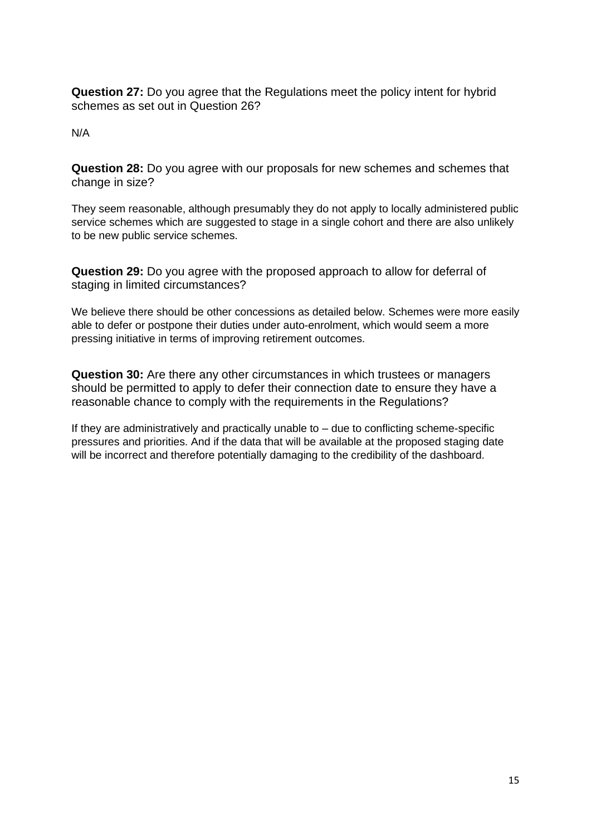**Question 27:** Do you agree that the Regulations meet the policy intent for hybrid schemes as set out in Question 26?

N/A

**Question 28:** Do you agree with our proposals for new schemes and schemes that change in size?

They seem reasonable, although presumably they do not apply to locally administered public service schemes which are suggested to stage in a single cohort and there are also unlikely to be new public service schemes.

**Question 29:** Do you agree with the proposed approach to allow for deferral of staging in limited circumstances?

We believe there should be other concessions as detailed below. Schemes were more easily able to defer or postpone their duties under auto-enrolment, which would seem a more pressing initiative in terms of improving retirement outcomes.

**Question 30:** Are there any other circumstances in which trustees or managers should be permitted to apply to defer their connection date to ensure they have a reasonable chance to comply with the requirements in the Regulations?

If they are administratively and practically unable to  $-$  due to conflicting scheme-specific pressures and priorities. And if the data that will be available at the proposed staging date will be incorrect and therefore potentially damaging to the credibility of the dashboard.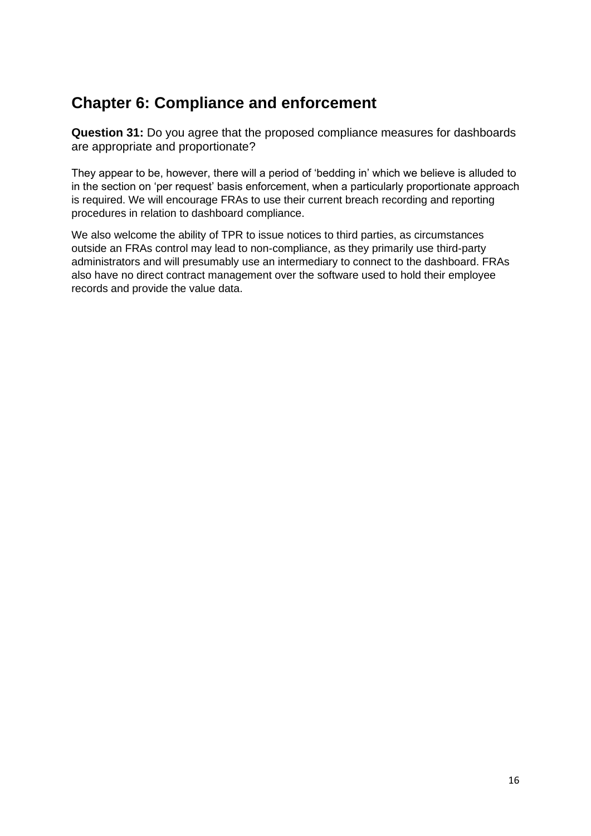# **Chapter 6: Compliance and enforcement**

**Question 31:** Do you agree that the proposed compliance measures for dashboards are appropriate and proportionate?

They appear to be, however, there will a period of 'bedding in' which we believe is alluded to in the section on 'per request' basis enforcement, when a particularly proportionate approach is required. We will encourage FRAs to use their current breach recording and reporting procedures in relation to dashboard compliance.

We also welcome the ability of TPR to issue notices to third parties, as circumstances outside an FRAs control may lead to non-compliance, as they primarily use third-party administrators and will presumably use an intermediary to connect to the dashboard. FRAs also have no direct contract management over the software used to hold their employee records and provide the value data.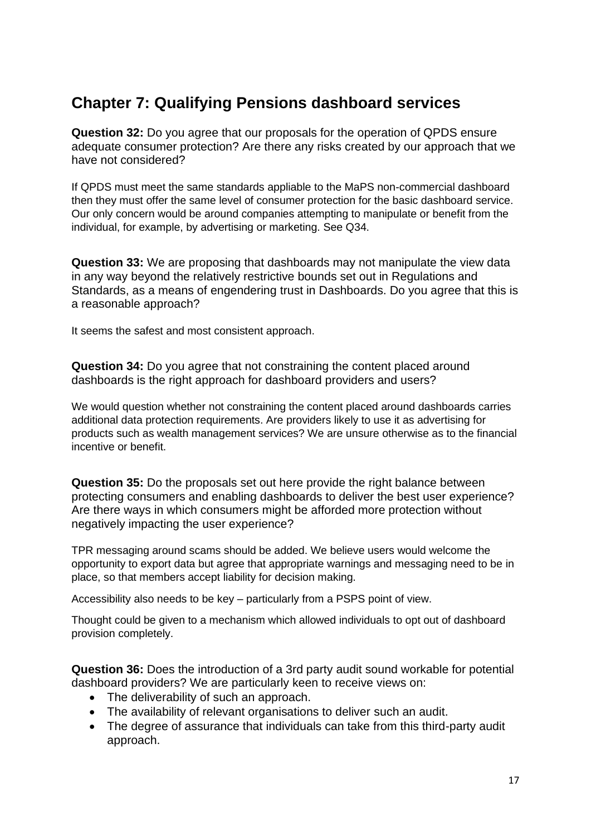# **Chapter 7: Qualifying Pensions dashboard services**

**Question 32:** Do you agree that our proposals for the operation of QPDS ensure adequate consumer protection? Are there any risks created by our approach that we have not considered?

If QPDS must meet the same standards appliable to the MaPS non-commercial dashboard then they must offer the same level of consumer protection for the basic dashboard service. Our only concern would be around companies attempting to manipulate or benefit from the individual, for example, by advertising or marketing. See Q34.

**Question 33:** We are proposing that dashboards may not manipulate the view data in any way beyond the relatively restrictive bounds set out in Regulations and Standards, as a means of engendering trust in Dashboards. Do you agree that this is a reasonable approach?

It seems the safest and most consistent approach.

**Question 34:** Do you agree that not constraining the content placed around dashboards is the right approach for dashboard providers and users?

We would question whether not constraining the content placed around dashboards carries additional data protection requirements. Are providers likely to use it as advertising for products such as wealth management services? We are unsure otherwise as to the financial incentive or benefit.

**Question 35:** Do the proposals set out here provide the right balance between protecting consumers and enabling dashboards to deliver the best user experience? Are there ways in which consumers might be afforded more protection without negatively impacting the user experience?

TPR messaging around scams should be added. We believe users would welcome the opportunity to export data but agree that appropriate warnings and messaging need to be in place, so that members accept liability for decision making.

Accessibility also needs to be key – particularly from a PSPS point of view.

Thought could be given to a mechanism which allowed individuals to opt out of dashboard provision completely.

**Question 36:** Does the introduction of a 3rd party audit sound workable for potential dashboard providers? We are particularly keen to receive views on:

- The deliverability of such an approach.
- The availability of relevant organisations to deliver such an audit.
- The degree of assurance that individuals can take from this third-party audit approach.